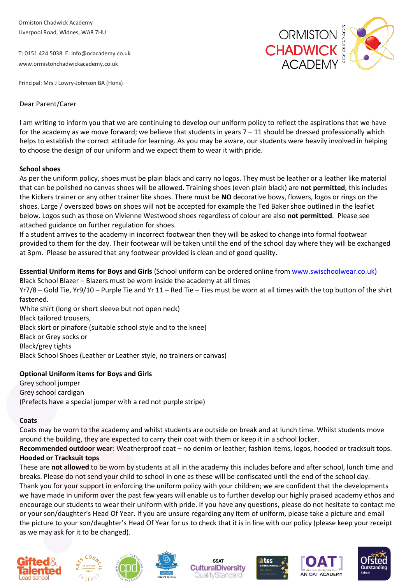Ormiston Chadwick Academy Liverpool Road, Widnes, WA8 7HU

T: 0151 424 5038 [E: info@ocacademy.co.uk](mailto:info@ocacademy.co.uk) [www.ormistonchadwickacademy.co.uk](http://www.ormistonchadwickacademy.co.uk/)



Principal: Mrs J Lowry-Johnson BA (Hons)

# Dear Parent/Carer

I am writing to inform you that we are continuing to develop our uniform policy to reflect the aspirations that we have for the academy as we move forward; we believe that students in years  $7 - 11$  should be dressed professionally which helps to establish the correct attitude for learning. As you may be aware, our students were heavily involved in helping to choose the design of our uniform and we expect them to wear it with pride.

## **School shoes**

As per the uniform policy, shoes must be plain black and carry no logos. They must be leather or a leather like material that can be polished no canvas shoes will be allowed. Training shoes (even plain black) are **not permitted**, this includes the Kickers trainer or any other trainer like shoes. There must be **NO** decorative bows, flowers, logos or rings on the shoes. Large / oversized bows on shoes will not be accepted for example the Ted Baker shoe outlined in the leaflet below. Logos such as those on Vivienne Westwood shoes regardless of colour are also **not permitted**. Please see attached guidance on further regulation for shoes.

If a student arrives to the academy in incorrect footwear then they will be asked to change into formal footwear provided to them for the day. Their footwear will be taken until the end of the school day where they will be exchanged at 3pm. Please be assured that any footwear provided is clean and of good quality.

**Essential Uniform items for Boys and Girls** (School uniform can be ordered online from [www.swischoolwear.co.uk\)](http://www.swischoolwear.co.uk/) Black School Blazer – Blazers must be worn inside the academy at all times

Yr7/8 – Gold Tie, Yr9/10 – Purple Tie and Yr 11 – Red Tie – Ties must be worn at all times with the top button of the shirt fastened.

White shirt (long or short sleeve but not open neck) Black tailored trousers, Black skirt or pinafore (suitable school style and to the knee) Black or Grey socks or Black/grey tights Black School Shoes (Leather or Leather style, no trainers or canvas)

# **Optional Uniform items for Boys and Girls**

Grey school jumper Grey school cardigan (Prefects have a special jumper with a red not purple stripe)

#### **Coats**

Coats may be worn to the academy and whilst students are outside on break and at lunch time. Whilst students move around the building, they are expected to carry their coat with them or keep it in a school locker.

**Recommended outdoor wear**: Weatherproof coat – no denim or leather; fashion items, logos, hooded or tracksuit tops. **Hooded or Tracksuit tops**

These are **not allowed** to be worn by students at all in the academy this includes before and after school, lunch time and breaks. Please do not send your child to school in one as these will be confiscated until the end of the school day.

Thank you for your support in enforcing the uniform policy with your children; we are confident that the developments we have made in uniform over the past few years will enable us to further develop our highly praised academy ethos and encourage our students to wear their uniform with pride. If you have any questions, please do not hesitate to contact me or your son/daughter's Head Of Year. If you are unsure regarding any item of uniform, please take a picture and email the picture to your son/daughter's Head Of Year for us to check that it is in line with our policy (please keep your receipt as we may ask for it to be changed).















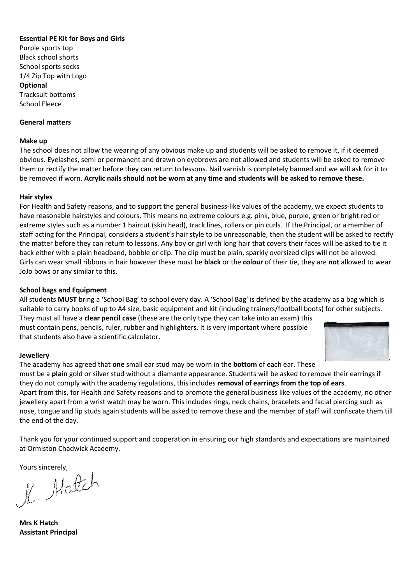# **Essential PE Kit for Boys and Girls**

Purple sports top Black school shorts School sports socks 1/4 Zip Top with Logo **Optional** Tracksuit bottoms School Fleece

## **General matters**

#### **Make up**

The school does not allow the wearing of any obvious make up and students will be asked to remove it, if it deemed obvious. Eyelashes, semi or permanent and drawn on eyebrows are not allowed and students will be asked to remove them or rectify the matter before they can return to lessons. Nail varnish is completely banned and we will ask for it to be removed if worn. **Acrylic nails should not be worn at any time and students will be asked to remove these.** 

## **Hair styles**

For Health and Safety reasons, and to support the general business-like values of the academy, we expect students to have reasonable hairstyles and colours. This means no extreme colours e.g. pink, blue, purple, green or bright red or extreme styles such as a number 1 haircut (skin head), track lines, rollers or pin curls. If the Principal, or a member of staff acting for the Principal, considers a student's hair style to be unreasonable, then the student will be asked to rectify the matter before they can return to lessons. Any boy or girl with long hair that covers their faces will be asked to tie it back either with a plain headband, bobble or clip. The clip must be plain, sparkly oversized clips will not be allowed. Girls can wear small ribbons in hair however these must be **black** or the **colour** of their tie, they are **not** allowed to wear JoJo bows or any similar to this.

## **School bags and Equipment**

All students **MUST** bring a 'School Bag' to school every day. A 'School Bag' is defined by the academy as a bag which is suitable to carry books of up to A4 size, basic equipment and kit (including trainers/football boots) for other subjects.

They must all have a **clear pencil case** (these are the only type they can take into an exam) this must contain pens, pencils, ruler, rubber and highlighters. It is very important where possible that students also have a scientific calculator.



#### **Jewellery**

The academy has agreed that **one** small ear stud may be worn in the **bottom** of each ear. These must be a **plain** gold or silver stud without a diamante appearance. Students will be asked to remove their earrings if they do not comply with the academy regulations, this includes **removal of earrings from the top of ears**. Apart from this, for Health and Safety reasons and to promote the general business like values of the academy, no other jewellery apart from a wrist watch may be worn. This includes rings, neck chains, bracelets and facial piercing such as nose, tongue and lip studs again students will be asked to remove these and the member of staff will confiscate them till the end of the day.

Thank you for your continued support and cooperation in ensuring our high standards and expectations are maintained at Ormiston Chadwick Academy.

Yours sincerely,<br> $\mathcal{H}$ . Mattch

**Mrs K Hatch Assistant Principal**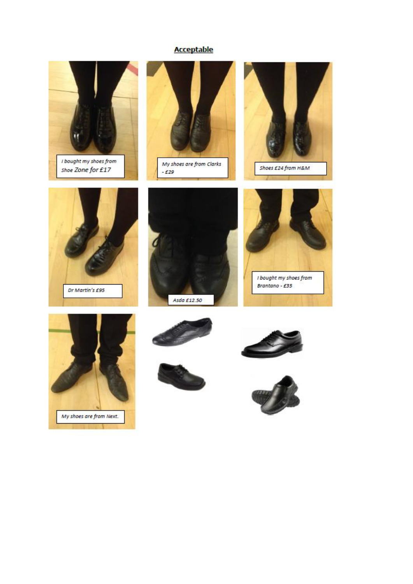# Acceptable